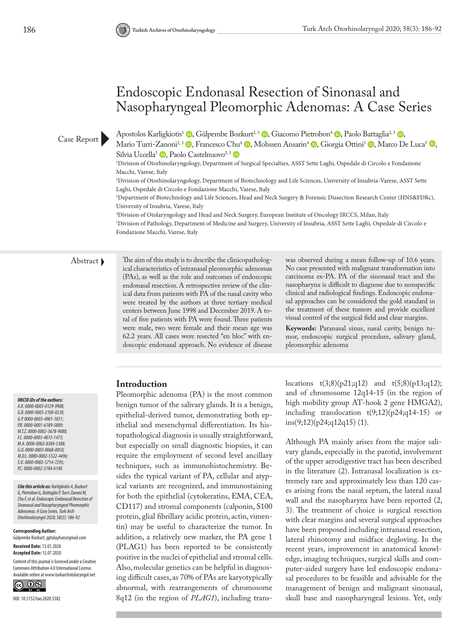# Endoscopic Endonasal Resection of Sinonasal and Nasopharyngeal Pleomorphic Adenomas: A Case Series

Case Report

Apostolos Karligkiotis<sup>1</sup> (D[,](https://orcid.org/0000-0003-2100-023X) Gülpembe Bozkurt<sup>2[,](https://orcid.org/0000-0001-6189-5889) 3</sup> (D, Giacomo Pietrobon<sup>4</sup> (D, Paolo Battaglia<sup>2, 3</sup> (D,

Mario Turri-Zanoni<sup>2[,](https://orcid.org/0000-0002-5522-4496) 3</sup> (b. Francesco [Chu](https://orcid.org/0000-0002-5184-6140)<sup>4</sup> (b. Mohssen Ansarin<sup>4</sup> (b. Giorgia Ottini<sup>5</sup> (b. Marco De Luca<sup>5</sup> (b. Silvia Uccella<sup>5</sup> **D**[,](https://orcid.org/0000-0002-5714-7295) Paolo Castelnuovo<sup>2, 3</sup> **D** 

1 Division of Otorhinolaryngology, Department of Surgical Specialties, ASST Sette Laghi, Ospedale di Circolo e Fondazione Macchi, Varese, Italy

2 Division of Otorhinolaryngology, Department of Biotechnology and Life Sciences, University of Insubria-Varese, ASST Sette Laghi, Ospedale di Circolo e Fondazione Macchi, Varese, Italy

3 Department of Biotechnology and Life Sciences, Head and Neck Surgery & Forensic Dissection Research Center (HNS&FDRc), University of Insubria, Varese, Italy

4 Division of Otolaryngology and Head and Neck Surgery, European Institute of Oncology IRCCS, Milan, Italy 5 Division of Pathology, Department of Medicine and Surgery, University of Insubria, ASST Sette Laghi, Ospedale di Circolo e Fondazione Macchi, Varese, Italy

Abstract The aim of this study is to describe the clinicopathological characteristics of intranasal pleomorphic adenomas (PAs), as well as the role and outcomes of endoscopic endonasal resection. A retrospective review of the clinical data from patients with PA of the nasal cavity who were treated by the authors at three tertiary medical centers between June 1998 and December 2019. A total of five patients with PA were found. Three patients were male, two were female and their mean age was 62.2 years. All cases were resected "en bloc" with endoscopic endonasal approach. No evidence of disease

was observed during a mean follow-up of 10.6 years. No case presented with malignant transformation into carcinoma ex-PA. PA of the sinonasal tract and the nasopharynx is difficult to diagnose due to nonspecific clinical and radiological findings. Endoscopic endonasal approaches can be considered the gold standard in the treatment of these tumors and provide excellent visual control of the surgical field and clear margins.

**Keywords:** Paranasal sinus, nasal cavity, benign tumor, endoscopic surgical procedure, salivary gland, pleomorphic adenoma

# **Introduction**

Pleomorphic adenoma (PA) is the most common benign tumor of the salivary glands. It is a benign, epithelial-derived tumor, demonstrating both epithelial and mesenchymal differentiation. Its histopathological diagnosis is usually straightforward, but especially on small diagnostic biopsies, it can require the employment of second level ancillary techniques, such as immunohistochemistry. Besides the typical variant of PA, cellular and atypical variants are recognized, and immunostaining for both the epithelial (cytokeratins, EMA, CEA, CD117) and stromal components (calponin, S100 protein, glial fibrillary acidic protein, actin, vimentin) may be useful to characterize the tumor. In addition, a relatively new marker, the PA gene 1 (PLAG1) has been reported to be consistently positive in the nuclei of epithelial and stromal cells. Also, molecular genetics can be helpful in diagnosing difficult cases, as 70% of PAs are karyotypically abnormal, with rearrangements of chromosome 8q12 (in the region of *PLAG1*), including translocations  $t(3;8)(p21;q12)$  and  $t(5;8)(p13;q12);$ and of chromosome 12q14-15 (in the region of high mobility group AT-hook 2 gene HMGA2), including translocation  $t(9;12)(p24;q14-15)$  or  $ins(9;12)(p24;q12q15)$  (1).

Although PA mainly arises from the major salivary glands, especially in the parotid, involvement of the upper aerodigestive tract has been described in the literature (2). Intranasal localization is extremely rare and approximately less than 120 cases arising from the nasal septum, the lateral nasal wall and the nasopharynx have been reported (2, 3). The treatment of choice is surgical resection with clear margins and several surgical approaches have been proposed including intranasal resection, lateral rhinotomy and midface degloving. In the recent years, improvement in anatomical knowledge, imaging techniques, surgical skills and computer-aided surgery have led endoscopic endonasal procedures to be feasible and advisable for the management of benign and malignant sinonasal, skull base and nasopharyngeal lesions. Yet, only

*ORCID iDs of the authors: A.K. 0000-0003-0129-9908; G.B. 0000-0003-2100-023X; G.P. 0000-0003-4981-1851; P.B. 0000-0001-6189-5889; M.T.Z. 0000-0002-3678-9088; F.C. 0000-0003-4813-1475; M.A. 0000-0002-8384-5388; G.O. 0000-0003-0068-0050; M.D.L. 0000-0002-5522-4496; S.U. 0000-0002-5714-7295; P.C. 0000-0002-5184-6140.* 

*Cite this article as: Karligkiotis A, Bozkurt G, Pietrobon G, Battaglia P, Turri-Zanoni M, Chu F, et al. Endoscopic Endonasal Resection of Sinonasal and Nasopharyngeal Pleomorphic Adenomas: A Case Series. Turk Arch Otorhinolaryngol 2020; 58(3): 186-92.*

**Corresponding Author:**  Gülpembe Bozkurt; gptalayhan@gmail.com

**Received Date:** 13.01.2020 **Accepted Date:** 12.07.2020

Content of this journal is licensed under a Creative Commons Attribution 4.0 International License. Available online at www.turkarchotolaryngol.net

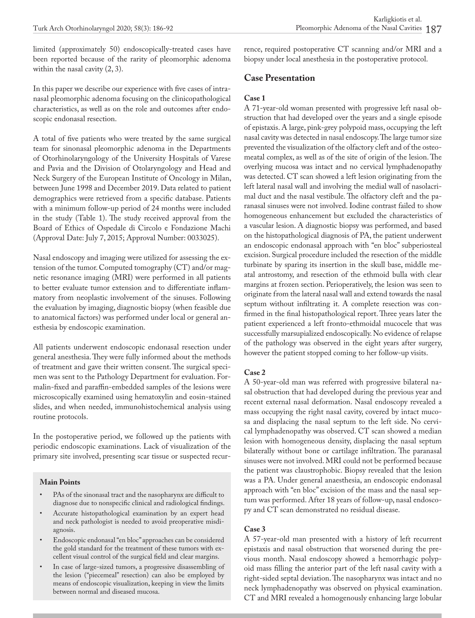limited (approximately 50) endoscopically-treated cases have been reported because of the rarity of pleomorphic adenoma within the nasal cavity (2, 3).

In this paper we describe our experience with five cases of intranasal pleomorphic adenoma focusing on the clinicopathological characteristics, as well as on the role and outcomes after endoscopic endonasal resection.

A total of five patients who were treated by the same surgical team for sinonasal pleomorphic adenoma in the Departments of Otorhinolaryngology of the University Hospitals of Varese and Pavia and the Division of Otolaryngology and Head and Neck Surgery of the European Institute of Oncology in Milan, between June 1998 and December 2019. Data related to patient demographics were retrieved from a specific database. Patients with a minimum follow-up period of 24 months were included in the study (Table 1). The study received approval from the Board of Ethics of Ospedale di Circolo e Fondazione Machi (Approval Date: July 7, 2015; Approval Number: 0033025).

Nasal endoscopy and imaging were utilized for assessing the extension of the tumor. Computed tomography (CT) and/or magnetic resonance imaging (MRI) were performed in all patients to better evaluate tumor extension and to differentiate inflammatory from neoplastic involvement of the sinuses. Following the evaluation by imaging, diagnostic biopsy (when feasible due to anatomical factors) was performed under local or general anesthesia by endoscopic examination.

All patients underwent endoscopic endonasal resection under general anesthesia. They were fully informed about the methods of treatment and gave their written consent. The surgical specimen was sent to the Pathology Department for evaluation. Formalin-fixed and paraffin-embedded samples of the lesions were microscopically examined using hematoxylin and eosin-stained slides, and when needed, immunohistochemical analysis using routine protocols.

In the postoperative period, we followed up the patients with periodic endoscopic examinations. Lack of visualization of the primary site involved, presenting scar tissue or suspected recur-

#### **Main Points**

- PAs of the sinonasal tract and the nasopharynx are difficult to diagnose due to nonspecific clinical and radiological findings.
- Accurate histopathological examination by an expert head and neck pathologist is needed to avoid preoperative misdiagnosis.
- Endoscopic endonasal "en bloc" approaches can be considered the gold standard for the treatment of these tumors with excellent visual control of the surgical field and clear margins.
- In case of large-sized tumors, a progressive disassembling of the lesion ("piecemeal" resection) can also be employed by means of endoscopic visualization, keeping in view the limits between normal and diseased mucosa.

rence, required postoperative CT scanning and/or MRI and a biopsy under local anesthesia in the postoperative protocol.

# **Case Presentation**

#### **Case 1**

A 71-year-old woman presented with progressive left nasal obstruction that had developed over the years and a single episode of epistaxis. A large, pink-grey polypoid mass, occupying the left nasal cavity was detected in nasal endoscopy. The large tumor size prevented the visualization of the olfactory cleft and of the osteomeatal complex, as well as of the site of origin of the lesion. The overlying mucosa was intact and no cervical lymphadenopathy was detected. CT scan showed a left lesion originating from the left lateral nasal wall and involving the medial wall of nasolacrimal duct and the nasal vestibule. The olfactory cleft and the paranasal sinuses were not involved. Iodine contrast failed to show homogeneous enhancement but excluded the characteristics of a vascular lesion. A diagnostic biopsy was performed, and based on the histopathological diagnosis of PA, the patient underwent an endoscopic endonasal approach with "en bloc" subperiosteal excision. Surgical procedure included the resection of the middle turbinate by sparing its insertion in the skull base, middle meatal antrostomy, and resection of the ethmoid bulla with clear margins at frozen section. Perioperatively, the lesion was seen to originate from the lateral nasal wall and extend towards the nasal septum without infiltrating it. A complete resection was confirmed in the final histopathological report. Three years later the patient experienced a left fronto-ethmoidal mucocele that was successfully marsupialized endoscopically. No evidence of relapse of the pathology was observed in the eight years after surgery, however the patient stopped coming to her follow-up visits.

## **Case 2**

A 50-year-old man was referred with progressive bilateral nasal obstruction that had developed during the previous year and recent external nasal deformation. Nasal endoscopy revealed a mass occupying the right nasal cavity, covered by intact mucosa and displacing the nasal septum to the left side. No cervical lymphadenopathy was observed. CT scan showed a median lesion with homogeneous density, displacing the nasal septum bilaterally without bone or cartilage infiltration. The paranasal sinuses were not involved. MRI could not be performed because the patient was claustrophobic. Biopsy revealed that the lesion was a PA. Under general anaesthesia, an endoscopic endonasal approach with "en bloc" excision of the mass and the nasal septum was performed. After 18 years of follow-up, nasal endoscopy and CT scan demonstrated no residual disease.

#### **Case 3**

A 57-year-old man presented with a history of left recurrent epistaxis and nasal obstruction that worsened during the previous month. Nasal endoscopy showed a hemorrhagic polypoid mass filling the anterior part of the left nasal cavity with a right-sided septal deviation. The nasopharynx was intact and no neck lymphadenopathy was observed on physical examination. CT and MRI revealed a homogenously enhancing large lobular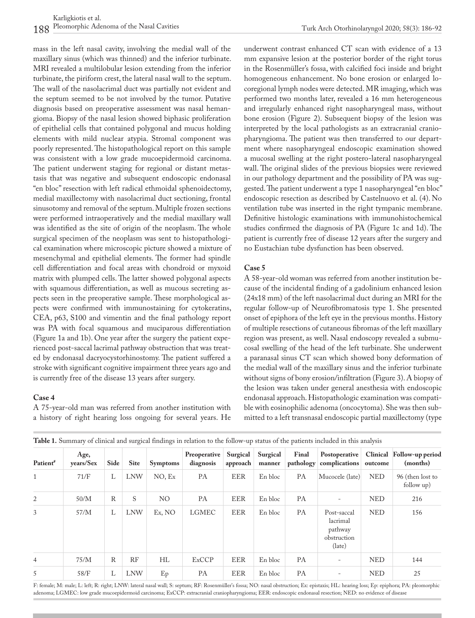mass in the left nasal cavity, involving the medial wall of the maxillary sinus (which was thinned) and the inferior turbinate. MRI revealed a multilobular lesion extending from the inferior turbinate, the piriform crest, the lateral nasal wall to the septum. The wall of the nasolacrimal duct was partially not evident and the septum seemed to be not involved by the tumor. Putative diagnosis based on preoperative assessment was nasal hemangioma. Biopsy of the nasal lesion showed biphasic proliferation of epithelial cells that contained polygonal and mucus holding elements with mild nuclear atypia. Stromal component was poorly represented. The histopathological report on this sample was consistent with a low grade mucoepidermoid carcinoma. The patient underwent staging for regional or distant metastasis that was negative and subsequent endoscopic endonasal "en bloc" resection with left radical ethmoidal sphenoidectomy, medial maxillectomy with nasolacrimal duct sectioning, frontal sinusotomy and removal of the septum. Multiple frozen sections were performed intraoperatively and the medial maxillary wall was identified as the site of origin of the neoplasm. The whole surgical specimen of the neoplasm was sent to histopathological examination where microscopic picture showed a mixture of mesenchymal and epithelial elements. The former had spindle cell differentiation and focal areas with chondroid or myxoid matrix with plumped cells. The latter showed polygonal aspects with squamous differentiation, as well as mucous secreting aspects seen in the preoperative sample. These morphological aspects were confirmed with immunostaining for cytokeratins, CEA, p63, S100 and vimentin and the final pathology report was PA with focal squamous and muciparous differentiation (Figure 1a and 1b). One year after the surgery the patient experienced post-saccal lacrimal pathway obstruction that was treated by endonasal dacryocystorhinostomy. The patient suffered a stroke with significant cognitive impairment three years ago and is currently free of the disease 13 years after surgery.

#### **Case 4**

A 75-year-old man was referred from another institution with a history of right hearing loss ongoing for several years. He underwent contrast enhanced CT scan with evidence of a 13 mm expansive lesion at the posterior border of the right torus in the Rosenmüller's fossa, with calcified foci inside and bright homogeneous enhancement. No bone erosion or enlarged locoregional lymph nodes were detected. MR imaging, which was performed two months later, revealed a 16 mm heterogeneous and irregularly enhanced right nasopharyngeal mass, without bone erosion (Figure 2). Subsequent biopsy of the lesion was interpreted by the local pathologists as an extracranial craniopharyngioma. The patient was then transferred to our department where nasopharyngeal endoscopic examination showed a mucosal swelling at the right postero-lateral nasopharyngeal wall. The original slides of the previous biopsies were reviewed in our pathology department and the possibility of PA was suggested. The patient underwent a type 1 nasopharyngeal "en bloc" endoscopic resection as described by Castelnuovo et al. (4). No ventilation tube was inserted in the right tympanic membrane. Definitive histologic examinations with immunohistochemical studies confirmed the diagnosis of PA (Figure 1c and 1d). The patient is currently free of disease 12 years after the surgery and no Eustachian tube dysfunction has been observed.

#### **Case 5**

A 58-year-old woman was referred from another institution because of the incidental finding of a gadolinium enhanced lesion (24x18 mm) of the left nasolacrimal duct during an MRI for the regular follow-up of Neurofibromatosis type 1. She presented onset of epiphora of the left eye in the previous months. History of multiple resections of cutaneous fibromas of the left maxillary region was present, as well. Nasal endoscopy revealed a submucosal swelling of the head of the left turbinate. She underwent a paranasal sinus CT scan which showed bony deformation of the medial wall of the maxillary sinus and the inferior turbinate without signs of bony erosion/infiltration (Figure 3). A biopsy of the lesion was taken under general anesthesia with endoscopic endonasal approach. Histopathologic examination was compatible with eosinophilic adenoma (oncocytoma). She was then submitted to a left transnasal endoscopic partial maxillectomy (type

| <b>Table 1.</b> Odininaly of chincal and surgical midings in iciation to the follow up status of the patients included in this analysis |                   |      |             |                 |                           |                      |                    |           |                                                             |            |                                       |
|-----------------------------------------------------------------------------------------------------------------------------------------|-------------------|------|-------------|-----------------|---------------------------|----------------------|--------------------|-----------|-------------------------------------------------------------|------------|---------------------------------------|
| Patient <sup>#</sup>                                                                                                                    | Age,<br>vears/Sex | Side | <b>Site</b> | <b>Symptoms</b> | Preoperative<br>diagnosis | Surgical<br>approach | Surgical<br>manner | Final     | Postoperative<br>pathology   complications                  | outcome    | Clinical Follow-up period<br>(months) |
| $\mathbf{1}$                                                                                                                            | 71/F              | L    | <b>LNW</b>  | NO, Ex          | PA                        | EER                  | En bloc            | РA        | Mucocele (late)                                             | <b>NED</b> | 96 (then lost to<br>follow up)        |
| 2                                                                                                                                       | 50/M              | R    | S           | NO              | PA                        | EER                  | En bloc            | PA        |                                                             | <b>NED</b> | 216                                   |
| 3                                                                                                                                       | 57/M              | L    | <b>LNW</b>  | Ex, NO          | <b>LGMEC</b>              | <b>EER</b>           | En bloc            | <b>PA</b> | Post-saccal<br>lacrimal<br>pathway<br>obstruction<br>(late) | <b>NED</b> | 156                                   |
| $\overline{4}$                                                                                                                          | 75/M              | R    | RF          | НL              | <b>ExCCP</b>              | <b>EER</b>           | En bloc            | <b>PA</b> | $\overline{\phantom{a}}$                                    | <b>NED</b> | 144                                   |
| 5                                                                                                                                       | 58/F              | L    | <b>LNW</b>  | Ep              | PA                        | EER                  | En bloc            | PA        |                                                             | <b>NED</b> | 25                                    |

|  | Table 1. Summary of clinical and surgical findings in relation to the follow-up status of the patients included in this analysis |
|--|----------------------------------------------------------------------------------------------------------------------------------|
|--|----------------------------------------------------------------------------------------------------------------------------------|

F: female; M: male; L: left; R: right; LNW: lateral nasal wall; S: septum; RF: Rosenmüller's fossa; NO: nasal obstruction; Ex: epistaxis; HL: hearing loss; Ep: epiphora; PA: pleomorphic adenoma; LGMEC: low grade mucoepidermoid carcinoma; ExCCP: extracranial craniopharyngioma; EER: endoscopic endonasal resection; NED: no evidence of disease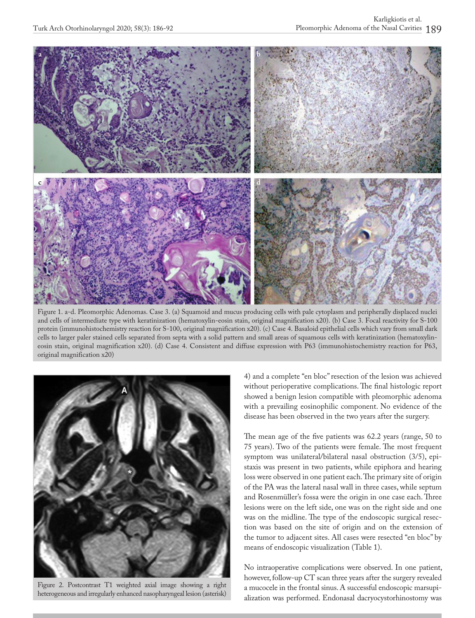

Figure 1. a-d. Pleomorphic Adenomas. Case 3. (a) Squamoid and mucus producing cells with pale cytoplasm and peripherally displaced nuclei and cells of intermediate type with keratinization (hematoxylin-eosin stain, original magnification x20). (b) Case 3. Focal reactivity for S-100 protein (immunohistochemistry reaction for S-100, original magnification x20). (c) Case 4. Basaloid epithelial cells which vary from small dark cells to larger paler stained cells separated from septa with a solid pattern and small areas of squamous cells with keratinization (hematoxylineosin stain, original magnification x20). (d) Case 4. Consistent and diffuse expression with P63 (immunohistochemistry reaction for P63, original magnification x20)



Figure 2. Postcontrast T1 weighted axial image showing a right heterogeneous and irregularly enhanced nasopharyngeal lesion (asterisk)

4) and a complete "en bloc" resection of the lesion was achieved without perioperative complications. The final histologic report showed a benign lesion compatible with pleomorphic adenoma with a prevailing eosinophilic component. No evidence of the disease has been observed in the two years after the surgery.

The mean age of the five patients was 62.2 years (range, 50 to 75 years). Two of the patients were female. The most frequent symptom was unilateral/bilateral nasal obstruction (3/5), epistaxis was present in two patients, while epiphora and hearing loss were observed in one patient each. The primary site of origin of the PA was the lateral nasal wall in three cases, while septum and Rosenmüller's fossa were the origin in one case each. Three lesions were on the left side, one was on the right side and one was on the midline. The type of the endoscopic surgical resection was based on the site of origin and on the extension of the tumor to adjacent sites. All cases were resected "en bloc" by means of endoscopic visualization (Table 1).

No intraoperative complications were observed. In one patient, however, follow-up CT scan three years after the surgery revealed a mucocele in the frontal sinus. A successful endoscopic marsupialization was performed. Endonasal dacryocystorhinostomy was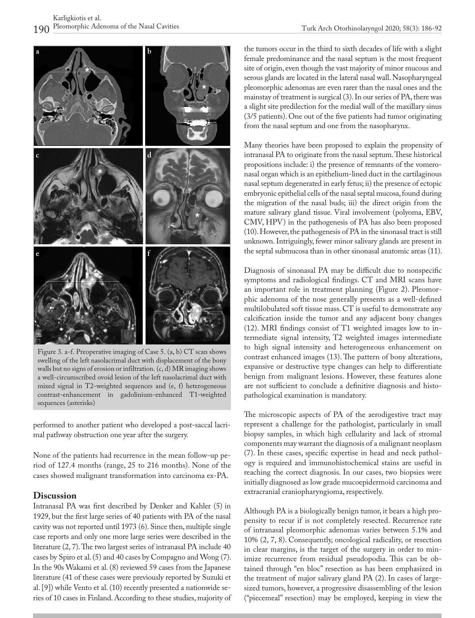

Figure 3. a-f. Preoperative imaging of Case 5. (a, b) CT scan shows swelling of the left nasolacrimal duct with displacement of the bony walls but no signs of erosion or infiltration. (c, d) MR imaging shows a well-circumscribed ovoid lesion of the left nasolacrimal duct with mixed signal in T2-weighted sequences and (e, f) heterogeneous contrast-enhancement in gadolinium-enhanced T1-weighted sequences (asterisks)

performed to another patient who developed a post-saccal lacrimal pathway obstruction one year after the surgery.

None of the patients had recurrence in the mean follow-up period of 127.4 months (range, 25 to 216 months). None of the cases showed malignant transformation into carcinoma ex-PA.

## **Discussion**

Intranasal PA was first described by Denker and Kahler (5) in 1929, but the first large series of 40 patients with PA of the nasal cavity was not reported until 1973 (6). Since then, multiple single case reports and only one more large series were described in the literature (2, 7). The two largest series of intranasal PA include 40 cases by Spiro et al. (5) and 40 cases by Compagno and Wong (7). In the 90s Wakami et al. (8) reviewed 59 cases from the Japanese literature (41 of these cases were previously reported by Suzuki et al. [9]) while Vento et al. (10) recently presented a nationwide series of 10 cases in Finland.According to these studies, majority of the tumors occur in the third to sixth decades of life with a slight female predominance and the nasal septum is the most frequent site of origin, even though the vast majority of minor mucous and serous glands are located in the lateral nasal wall. Nasopharyngeal pleomorphic adenomas are even rarer than the nasal ones and the mainstay of treatment is surgical (3). In our series of PA, there was a slight site predilection for the medial wall of the maxillary sinus (3/5 patients). One out of the five patients had tumor originating from the nasal septum and one from the nasopharynx.

Many theories have been proposed to explain the propensity of intranasal PA to originate from the nasal septum. These historical propositions include: i) the presence of remnants of the vomeronasal organ which is an epithelium-lined duct in the cartilaginous nasal septum degenerated in early fetus; ii) the presence of ectopic embryonic epithelial cells of the nasal septal mucosa, found during the migration of the nasal buds; iii) the direct origin from the mature salivary gland tissue. Viral involvement (polyoma, EBV, CMV, HPV) in the pathogenesis of PA has also been proposed (10). However, the pathogenesis of PA in the sinonasal tract is still unknown. Intriguingly, fewer minor salivary glands are present in the septal submucosa than in other sinonasal anatomic areas (11).

Diagnosis of sinonasal PA may be difficult due to nonspecific symptoms and radiological findings. CT and MRI scans have an important role in treatment planning (Figure 2). Pleomorphic adenoma of the nose generally presents as a well-defined multilobulated soft tissue mass. CT is useful to demonstrate any calcification inside the tumor and any adjacent bony changes (12). MRI findings consist of T1 weighted images low to intermediate signal intensity, T2 weighted images intermediate to high signal intensity and heterogeneous enhancement on contrast enhanced images (13). The pattern of bony alterations, expansive or destructive type changes can help to differentiate benign from malignant lesions. However, these features alone are not sufficient to conclude a definitive diagnosis and histopathological examination is mandatory.

The microscopic aspects of PA of the aerodigestive tract may represent a challenge for the pathologist, particularly in small biopsy samples, in which high cellularity and lack of stromal components may warrant the diagnosis of a malignant neoplasm (7). In these cases, specific expertise in head and neck pathology is required and immunohistochemical stains are useful in reaching the correct diagnosis. In our cases, two biopsies were initially diagnosed as low grade mucoepidermoid carcinoma and extracranial craniopharyngioma, respectively.

Although PA is a biologically benign tumor, it bears a high propensity to recur if is not completely resected. Recurrence rate of intranasal pleomorphic adenomas varies between 5.1% and 10% (2, 7, 8). Consequently, oncological radicality, or resection in clear margins, is the target of the surgery in order to minimize recurrence from residual pseudopodia. This can be obtained through "en bloc" resection as has been emphasized in the treatment of major salivary gland PA (2). In cases of largesized tumors, however, a progressive disassembling of the lesion ("piecemeal" resection) may be employed, keeping in view the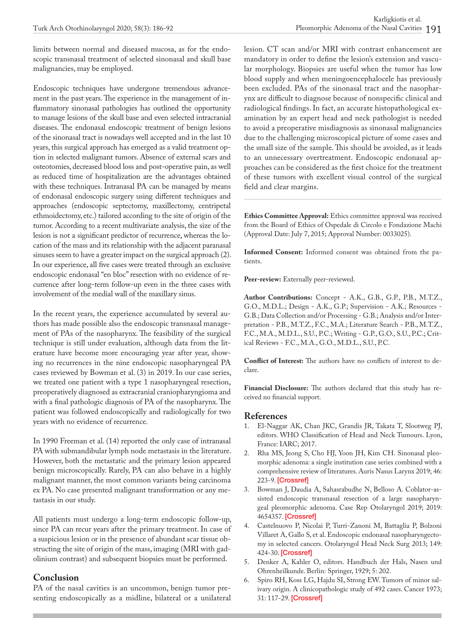limits between normal and diseased mucosa, as for the endoscopic transnasal treatment of selected sinonasal and skull base malignancies, may be employed.

Endoscopic techniques have undergone tremendous advancement in the past years. The experience in the management of inflammatory sinonasal pathologies has outlined the opportunity to manage lesions of the skull base and even selected intracranial diseases. The endonasal endoscopic treatment of benign lesions of the sinonasal tract is nowadays well accepted and in the last 10 years, this surgical approach has emerged as a valid treatment option in selected malignant tumors. Absence of external scars and osteotomies, decreased blood loss and post-operative pain, as well as reduced time of hospitalization are the advantages obtained with these techniques. Intranasal PA can be managed by means of endonasal endoscopic surgery using different techniques and approaches (endoscopic septectomy, maxillectomy, centripetal ethmoidectomy, etc.) tailored according to the site of origin of the tumor. According to a recent multivariate analysis, the size of the lesion is not a significant predictor of recurrence, whereas the location of the mass and its relationship with the adjacent paranasal sinuses seem to have a greater impact on the surgical approach (2). In our experience, all five cases were treated through an exclusive endoscopic endonasal "en bloc" resection with no evidence of recurrence after long-term follow-up even in the three cases with involvement of the medial wall of the maxillary sinus.

In the recent years, the experience accumulated by several authors has made possible also the endoscopic transnasal management of PAs of the nasopharynx. The feasibility of the surgical technique is still under evaluation, although data from the literature have become more encouraging year after year, showing no recurrences in the nine endoscopic nasopharyngeal PA cases reviewed by Bowman et al. (3) in 2019. In our case series, we treated one patient with a type 1 nasopharyngeal resection, preoperatively diagnosed as extracranial craniopharyngioma and with a final pathologic diagnosis of PA of the nasopharynx. The patient was followed endoscopically and radiologically for two years with no evidence of recurrence.

In 1990 Freeman et al. (14) reported the only case of intranasal PA with submandibular lymph node metastasis in the literature. However, both the metastatic and the primary lesion appeared benign microscopically. Rarely, PA can also behave in a highly malignant manner, the most common variants being carcinoma ex PA. No case presented malignant transformation or any metastasis in our study.

All patients must undergo a long-term endoscopic follow-up, since PA can recur years after the primary treatment. In case of a suspicious lesion or in the presence of abundant scar tissue obstructing the site of origin of the mass, imaging (MRI with gadolinium contrast) and subsequent biopsies must be performed.

## **Conclusion**

PA of the nasal cavities is an uncommon, benign tumor presenting endoscopically as a midline, bilateral or a unilateral lesion. CT scan and/or MRI with contrast enhancement are mandatory in order to define the lesion's extension and vascular morphology. Biopsies are useful when the tumor has low blood supply and when meningoencephalocele has previously been excluded. PAs of the sinonasal tract and the nasopharynx are difficult to diagnose because of nonspecific clinical and radiological findings. In fact, an accurate histopathological examination by an expert head and neck pathologist is needed to avoid a preoperative misdiagnosis as sinonasal malignancies due to the challenging microscopical picture of some cases and the small size of the sample. This should be avoided, as it leads to an unnecessary overtreatment. Endoscopic endonasal approaches can be considered as the first choice for the treatment of these tumors with excellent visual control of the surgical field and clear margins.

**Ethics Committee Approval:** Ethics committee approval was received from the Board of Ethics of Ospedale di Circolo e Fondazione Machi (Approval Date: July 7, 2015; Approval Number: 0033025).

**Informed Consent:** Informed consent was obtained from the patients.

**Peer-review:** Externally peer-reviewed.

**Author Contributions:** Concept - A.K., G.B., G.P., P.B., M.T.Z., G.O., M.D.L.; Design - A.K., G.P.; Supervision - A.K.; Resources - G.B.; Data Collection and/or Processing - G.B.; Analysis and/or Interpretation - P.B., M.T.Z., F.C., M.A.; Literature Search - P.B., M.T.Z., F.C., M.A., M.D.L., S.U., P.C.; Writing - G.P., G.O., S.U., P.C.; Critical Reviews - F.C., M.A., G.O., M.D.L., S.U., P.C.

**Conflict of Interest:** The authors have no conflicts of interest to declare.

**Financial Disclosure:** The authors declared that this study has received no financial support.

#### **References**

- 1. El-Naggar AK, Chan JKC, Grandis JR, Takata T, Slootweg PJ, editors. WHO Classification of Head and Neck Tumours. Lyon, France: IARC; 2017.
- 2. Rha MS, Jeong S, Cho HJ, Yoon JH, Kim CH. Sinonasal pleomorphic adenoma: a single institution case series combined with a comprehensive review of literatures. Auris Nasus Larynx 2019; 46: 223-9. [\[Crossref\]](https://doi.org/10.1016/j.anl.2018.08.003)
- 3. Bowman J, Daudia A, Sahasrabudhe N, Belloso A. Coblator-assisted endoscopic transnasal resection of a large nasopharyngeal pleomorphic adenoma. Case Rep Otolaryngol 2019; 2019: 4654357. [\[Crossref](https://doi.org/10.1155/2019/4654357)]
- 4. Castelnuovo P, Nicolai P, Turri-Zanoni M, Battaglia P, Bolzoni Villaret A, Gallo S, et al. Endoscopic endonasal nasopharyngectomy in selected cancers. Otolaryngol Head Neck Surg 2013; 149: 424-30. [[Crossref](https://doi.org/10.1177/0194599813493073)]
- 5. Denker A, Kahler O, editors. Handbuch der Hals, Nasen und Ohrenheilkunde. Berlin: Springer, 1929; 5: 202.
- 6. Spiro RH, Koss LG, Hajdu SI, Strong EW. Tumors of minor salivary origin. A clinicopathologic study of 492 cases. Cancer 1973; 31: 117-29. [\[Crossref](https://doi.org/10.1002/1097-0142(197301)31:1<117::AID-CNCR2820310116>3.0.CO;2-7)]